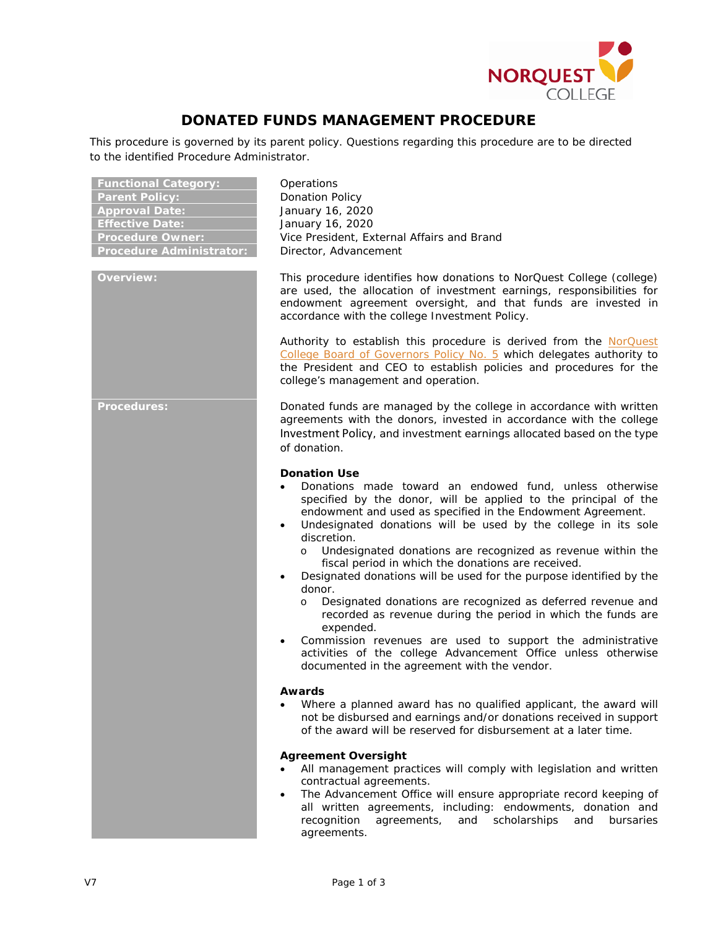

## **DONATED FUNDS MANAGEMENT PROCEDURE**

This procedure is governed by its parent policy. Questions regarding this procedure are to be directed to the identified Procedure Administrator.

| <b>Functional Category:</b><br><b>Parent Policy:</b><br><b>Approval Date:</b><br><b>Effective Date:</b><br><b>Procedure Owner:</b><br><b>Procedure Administrator:</b> | Operations<br><b>Donation Policy</b><br>January 16, 2020<br>January 16, 2020<br>Vice President, External Affairs and Brand<br>Director, Advancement                                                                                                                                                                                                                                                                                                                                                                                                                                                                                                                                                                                                                                                                                                                                    |  |
|-----------------------------------------------------------------------------------------------------------------------------------------------------------------------|----------------------------------------------------------------------------------------------------------------------------------------------------------------------------------------------------------------------------------------------------------------------------------------------------------------------------------------------------------------------------------------------------------------------------------------------------------------------------------------------------------------------------------------------------------------------------------------------------------------------------------------------------------------------------------------------------------------------------------------------------------------------------------------------------------------------------------------------------------------------------------------|--|
| <b>Overview:</b>                                                                                                                                                      | This procedure identifies how donations to NorQuest College (college)<br>are used, the allocation of investment earnings, responsibilities for<br>endowment agreement oversight, and that funds are invested in<br>accordance with the college Investment Policy.                                                                                                                                                                                                                                                                                                                                                                                                                                                                                                                                                                                                                      |  |
|                                                                                                                                                                       | Authority to establish this procedure is derived from the NorQuest<br>College Board of Governors Policy No. 5 which delegates authority to<br>the President and CEO to establish policies and procedures for the<br>college's management and operation.                                                                                                                                                                                                                                                                                                                                                                                                                                                                                                                                                                                                                                |  |
| <b>Procedures:</b>                                                                                                                                                    | Donated funds are managed by the college in accordance with written<br>agreements with the donors, invested in accordance with the college<br>Investment Policy, and investment earnings allocated based on the type<br>of donation.                                                                                                                                                                                                                                                                                                                                                                                                                                                                                                                                                                                                                                                   |  |
|                                                                                                                                                                       | <b>Donation Use</b><br>Donations made toward an endowed fund, unless otherwise<br>$\bullet$<br>specified by the donor, will be applied to the principal of the<br>endowment and used as specified in the Endowment Agreement.<br>Undesignated donations will be used by the college in its sole<br>discretion.<br>o Undesignated donations are recognized as revenue within the<br>fiscal period in which the donations are received.<br>Designated donations will be used for the purpose identified by the<br>$\bullet$<br>donor.<br>Designated donations are recognized as deferred revenue and<br>$\circ$<br>recorded as revenue during the period in which the funds are<br>expended.<br>Commission revenues are used to support the administrative<br>$\bullet$<br>activities of the college Advancement Office unless otherwise<br>documented in the agreement with the vendor. |  |
|                                                                                                                                                                       | <b>Awards</b><br>Where a planned award has no qualified applicant, the award will<br>not be disbursed and earnings and/or donations received in support<br>of the award will be reserved for disbursement at a later time.                                                                                                                                                                                                                                                                                                                                                                                                                                                                                                                                                                                                                                                             |  |
|                                                                                                                                                                       | <b>Agreement Oversight</b><br>All management practices will comply with legislation and written<br>contractual agreements.<br>The Advancement Office will ensure appropriate record keeping of<br>$\bullet$<br>all written agreements, including: endowments, donation and<br>recognition<br>scholarships<br>agreements,<br>and<br>and<br>bursaries<br>agreements.                                                                                                                                                                                                                                                                                                                                                                                                                                                                                                                     |  |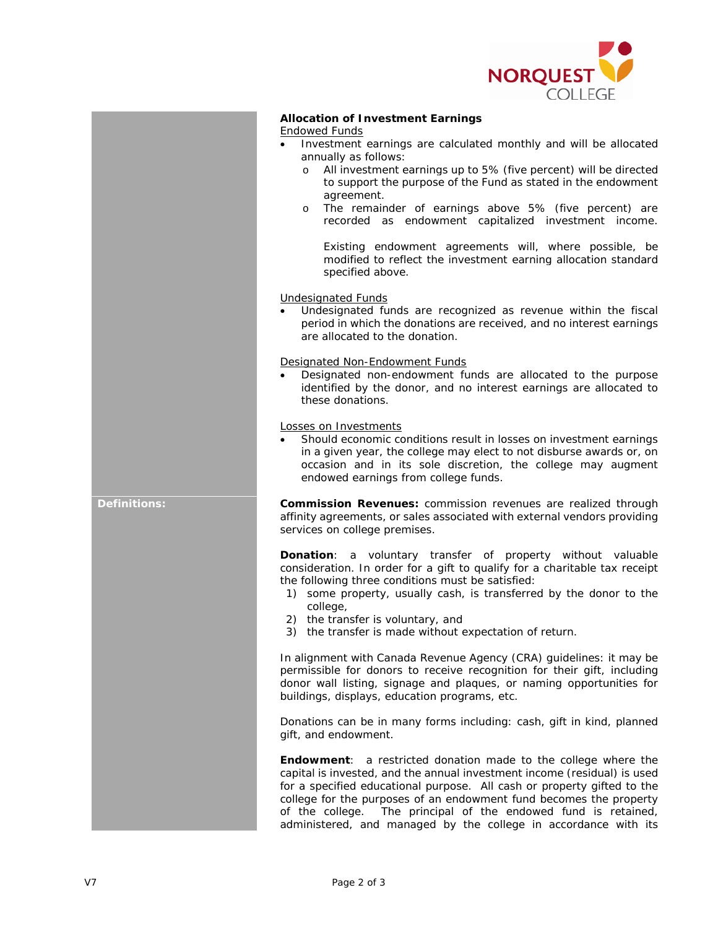

| <b>Allocation of Investment Earnings</b> |  |
|------------------------------------------|--|
|                                          |  |

## Endowed Funds

- Investment earnings are calculated monthly and will be allocated annually as follows:
	- o All investment earnings up to 5% (five percent) will be directed to support the purpose of the Fund as stated in the endowment agreement.
	- o The remainder of earnings above 5% (five percent) are recorded as endowment capitalized investment income.

Existing endowment agreements will, where possible, be modified to reflect the investment earning allocation standard specified above.

Undesignated Funds

• Undesignated funds are recognized as revenue within the fiscal period in which the donations are received, and no interest earnings are allocated to the donation.

Designated Non-Endowment Funds

• Designated non-endowment funds are allocated to the purpose identified by the donor, and no interest earnings are allocated to these donations.

Losses on Investments

Should economic conditions result in losses on investment earnings in a given year, the college may elect to not disburse awards or, on occasion and in its sole discretion, the college may augment endowed earnings from college funds.

**Definitions: Commission Revenues:** commission revenues are realized through affinity agreements, or sales associated with external vendors providing services on college premises.

> **Donation**: a voluntary transfer of property without valuable consideration. In order for a gift to qualify for a charitable tax receipt the following three conditions must be satisfied:

- 1) some property, usually cash, is transferred by the donor to the college,
- 2) the transfer is voluntary, and
- 3) the transfer is made without expectation of return.

In alignment with Canada Revenue Agency (CRA) guidelines: it may be permissible for donors to receive recognition for their gift, including donor wall listing, signage and plaques, or naming opportunities for buildings, displays, education programs, etc.

Donations can be in many forms including: cash, gift in kind, planned gift, and endowment.

**Endowment**: a restricted donation made to the college where the capital is invested, and the annual investment income (residual) is used for a specified educational purpose. All cash or property gifted to the college for the purposes of an endowment fund becomes the property of the college. The principal of the endowed fund is retained, administered, and managed by the college in accordance with its